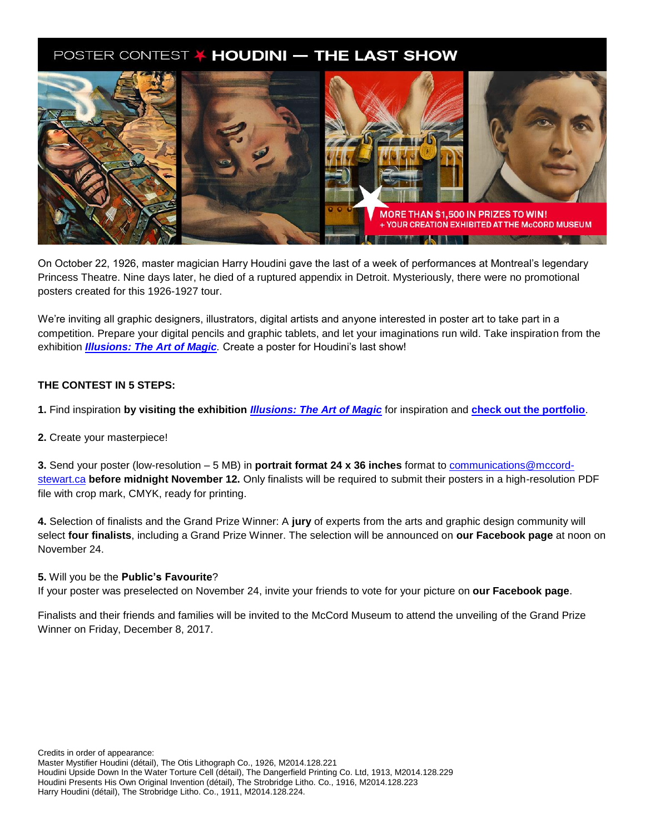# POSTER CONTEST / HOUDINI - THE LAST SHOW



On October 22, 1926, master magician Harry Houdini gave the last of a week of performances at Montreal's legendary Princess Theatre. Nine days later, he died of a ruptured appendix in Detroit. Mysteriously, there were no promotional posters created for this 1926-1927 tour.

We're inviting all graphic designers, illustrators, digital artists and anyone interested in poster art to take part in a competition. Prepare your digital pencils and graphic tablets, and let your imaginations run wild. Take inspiration from the exhibition *[Illusions: The Art of Magic](http://www.musee-mccord.qc.ca/en/exhibitions/magic/).* Create a poster for Houdini's last show!

#### **THE CONTEST IN 5 STEPS:**

**1.** Find inspiration **by visiting the exhibition** *[Illusions: The Art of Magic](http://www.musee-mccord.qc.ca/en/exhibitions/magic/)* for inspiration and **[check out the portfolio](https://drive.google.com/drive/folders/0B7coajwlgleaYzJ5bFdQMlJnajg?usp=sharing)**.

#### **2.** Create your masterpiece!

**3.** Send your poster (low-resolution – 5 MB) in **portrait format 24 x 36 inches** format t[o communications@mccord](mailto:communications@mccord-stewart.ca)[stewart.ca](mailto:communications@mccord-stewart.ca) **before midnight November 12.** Only finalists will be required to submit their posters in a high-resolution PDF file with crop mark, CMYK, ready for printing.

**4.** Selection of finalists and the Grand Prize Winner: A **jury** of experts from the arts and graphic design community will select **four finalists**, including a Grand Prize Winner. The selection will be announced on **our Facebook page** at noon on November 24.

#### **5.** Will you be the **Public's Favourite**?

If your poster was preselected on November 24, invite your friends to vote for your picture on **our Facebook page**.

Finalists and their friends and families will be invited to the McCord Museum to attend the unveiling of the Grand Prize Winner on Friday, December 8, 2017.